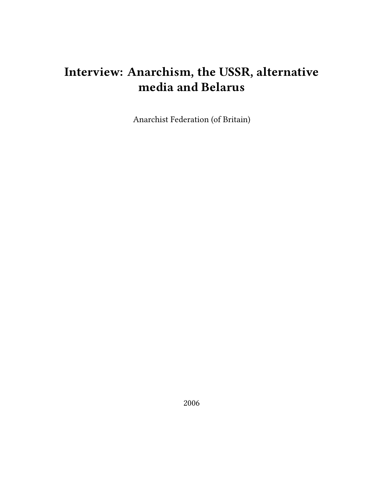# **Interview: Anarchism, the USSR, alternative media and Belarus**

Anarchist Federation (of Britain)

2006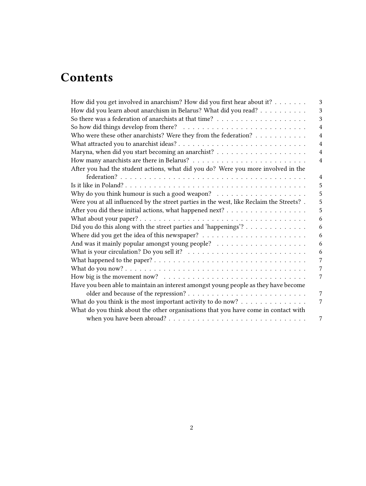# **Contents**

| How did you get involved in anarchism? How did you first hear about it? $\dots \dots$                      | 3              |
|------------------------------------------------------------------------------------------------------------|----------------|
| How did you learn about anarchism in Belarus? What did you read?                                           | 3              |
|                                                                                                            | 3              |
| So how did things develop from there? $\dots \dots \dots \dots \dots \dots \dots \dots \dots \dots$        | $\overline{4}$ |
| Who were these other anarchists? Were they from the federation?                                            | $\overline{4}$ |
|                                                                                                            | $\overline{4}$ |
|                                                                                                            | $\overline{4}$ |
|                                                                                                            | 4              |
| After you had the student actions, what did you do? Were you more involved in the                          |                |
|                                                                                                            | 4              |
|                                                                                                            | 5              |
| Why do you think humour is such a good weapon? $\ldots \ldots \ldots \ldots \ldots \ldots$                 | 5              |
| Were you at all influenced by the street parties in the west, like Reclaim the Streets? .                  | 5              |
|                                                                                                            | 5              |
|                                                                                                            | 6              |
| Did you do this along with the street parties and 'happenings'?                                            | 6              |
|                                                                                                            | 6              |
|                                                                                                            | 6              |
| What is your circulation? Do you sell it? $\ldots \ldots \ldots \ldots \ldots \ldots \ldots \ldots \ldots$ | 6              |
|                                                                                                            | 7              |
|                                                                                                            | 7              |
| How big is the movement now? $\dots \dots \dots \dots \dots \dots \dots \dots \dots \dots \dots \dots$     | 7              |
| Have you been able to maintain an interest amongst young people as they have become                        |                |
|                                                                                                            | 7              |
| What do you think is the most important activity to do now? $\dots \dots \dots \dots \dots$                | 7              |
| What do you think about the other organisations that you have come in contact with                         |                |
|                                                                                                            | 7              |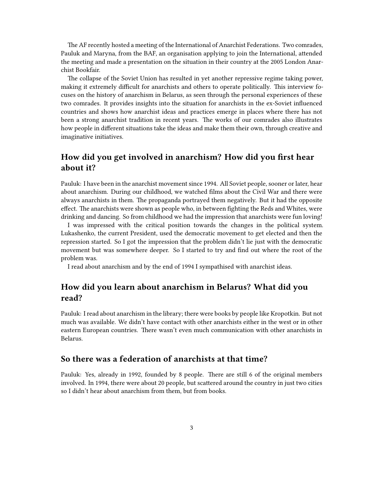The AF recently hosted a meeting of the International of Anarchist Federations. Two comrades, Pauluk and Maryna, from the BAF, an organisation applying to join the International, attended the meeting and made a presentation on the situation in their country at the 2005 London Anarchist Bookfair.

The collapse of the Soviet Union has resulted in yet another repressive regime taking power, making it extremely difficult for anarchists and others to operate politically. This interview focuses on the history of anarchism in Belarus, as seen through the personal experiences of these two comrades. It provides insights into the situation for anarchists in the ex-Soviet influenced countries and shows how anarchist ideas and practices emerge in places where there has not been a strong anarchist tradition in recent years. The works of our comrades also illustrates how people in different situations take the ideas and make them their own, through creative and imaginative initiatives.

# <span id="page-2-0"></span>**How did you get involved in anarchism? How did you first hear about it?**

Pauluk: I have been in the anarchist movement since 1994. All Soviet people, sooner or later, hear about anarchism. During our childhood, we watched films about the Civil War and there were always anarchists in them. The propaganda portrayed them negatively. But it had the opposite effect. The anarchists were shown as people who, in between fighting the Reds and Whites, were drinking and dancing. So from childhood we had the impression that anarchists were fun loving!

I was impressed with the critical position towards the changes in the political system. Lukashenko, the current President, used the democratic movement to get elected and then the repression started. So I got the impression that the problem didn't lie just with the democratic movement but was somewhere deeper. So I started to try and find out where the root of the problem was.

I read about anarchism and by the end of 1994 I sympathised with anarchist ideas.

## <span id="page-2-1"></span>**How did you learn about anarchism in Belarus? What did you read?**

Pauluk: I read about anarchism in the library; there were books by people like Kropotkin. But not much was available. We didn't have contact with other anarchists either in the west or in other eastern European countries. There wasn't even much communication with other anarchists in Belarus.

### <span id="page-2-2"></span>**So there was a federation of anarchists at that time?**

Pauluk: Yes, already in 1992, founded by 8 people. There are still 6 of the original members involved. In 1994, there were about 20 people, but scattered around the country in just two cities so I didn't hear about anarchism from them, but from books.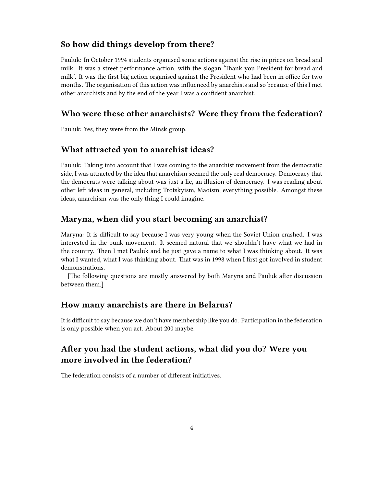## <span id="page-3-0"></span>**So how did things develop from there?**

Pauluk: In October 1994 students organised some actions against the rise in prices on bread and milk. It was a street performance action, with the slogan 'Thank you President for bread and milk'. It was the first big action organised against the President who had been in office for two months. The organisation of this action was influenced by anarchists and so because of this I met other anarchists and by the end of the year I was a confident anarchist.

#### <span id="page-3-1"></span>**Who were these other anarchists? Were they from the federation?**

Pauluk: Yes, they were from the Minsk group.

# <span id="page-3-2"></span>**What attracted you to anarchist ideas?**

Pauluk: Taking into account that I was coming to the anarchist movement from the democratic side, I was attracted by the idea that anarchism seemed the only real democracy. Democracy that the democrats were talking about was just a lie, an illusion of democracy. I was reading about other left ideas in general, including Trotskyism, Maoism, everything possible. Amongst these ideas, anarchism was the only thing I could imagine.

#### <span id="page-3-3"></span>**Maryna, when did you start becoming an anarchist?**

Maryna: It is difficult to say because I was very young when the Soviet Union crashed. I was interested in the punk movement. It seemed natural that we shouldn't have what we had in the country. Then I met Pauluk and he just gave a name to what I was thinking about. It was what I wanted, what I was thinking about. That was in 1998 when I first got involved in student demonstrations.

[The following questions are mostly answered by both Maryna and Pauluk after discussion between them.]

#### <span id="page-3-4"></span>**How many anarchists are there in Belarus?**

It is difficult to say because we don't have membership like you do. Participation in the federation is only possible when you act. About 200 maybe.

# <span id="page-3-5"></span>**After you had the student actions, what did you do? Were you more involved in the federation?**

The federation consists of a number of different initiatives.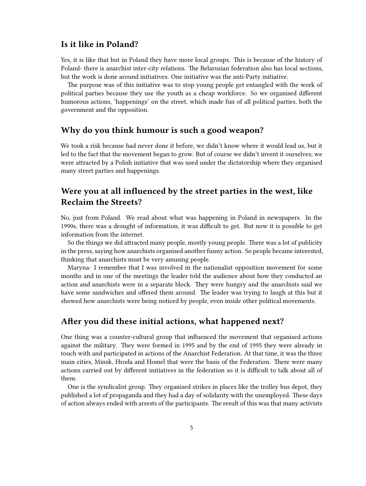### <span id="page-4-0"></span>**Is it like in Poland?**

Yes, it is like that but in Poland they have more local groups. This is because of the history of Poland- there is anarchist inter-city relations. The Belarusian federation also has local sections, but the work is done around initiatives. One initiative was the anti-Party initiative.

The purpose was of this initiative was to stop young people get entangled with the work of political parties because they use the youth as a cheap workforce. So we organised different humorous actions, 'happenings' on the street, which made fun of all political parties, both the government and the opposition.

#### <span id="page-4-1"></span>**Why do you think humour is such a good weapon?**

We took a risk because had never done it before, we didn't know where it would lead us, but it led to the fact that the movement began to grow. But of course we didn't invent it ourselves; we were attracted by a Polish initiative that was used under the dictatorship where they organised many street parties and happenings.

# <span id="page-4-2"></span>**Were you at all influenced by the street parties in the west, like Reclaim the Streets?**

No, just from Poland. We read about what was happening in Poland in newspapers. In the 1990s, there was a drought of information, it was difficult to get. But now it is possible to get information from the internet.

So the things we did attracted many people, mostly young people. There was a lot of publicity in the press, saying how anarchists organised another funny action. So people became interested, thinking that anarchists must be very amusing people.

Maryna: I remember that I was involved in the nationalist opposition movement for some months and in one of the meetings the leader told the audience about how they conducted an action and anarchists were in a separate block. They were hungry and the anarchists said we have some sandwiches and offered them around. The leader was trying to laugh at this but it showed how anarchists were being noticed by people, even inside other political movements.

#### <span id="page-4-3"></span>**After you did these initial actions, what happened next?**

One thing was a counter-cultural group that influenced the movement that organised actions against the military. They were formed in 1995 and by the end of 1995 they were already in touch with and participated in actions of the Anarchist Federation. At that time, it was the three main cities, Minsk, Hroda and Homel that were the basis of the Federation. There were many actions carried out by different initiatives in the federation so it is difficult to talk about all of them.

One is the syndicalist group. They organised strikes in places like the trolley bus depot, they published a lot of propaganda and they had a day of solidarity with the unemployed. These days of action always ended with arrests of the participants. The result of this was that many activists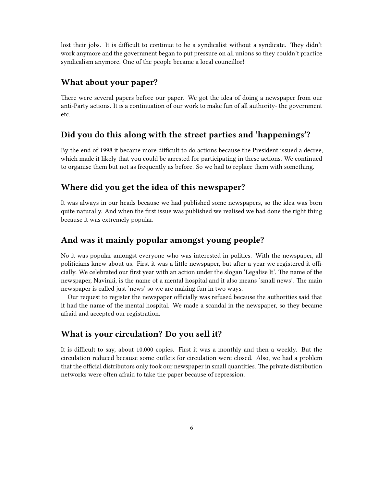lost their jobs. It is difficult to continue to be a syndicalist without a syndicate. They didn't work anymore and the government began to put pressure on all unions so they couldn't practice syndicalism anymore. One of the people became a local councillor!

#### <span id="page-5-0"></span>**What about your paper?**

There were several papers before our paper. We got the idea of doing a newspaper from our anti-Party actions. It is a continuation of our work to make fun of all authority- the government etc.

## <span id="page-5-1"></span>**Did you do this along with the street parties and 'happenings'?**

By the end of 1998 it became more difficult to do actions because the President issued a decree, which made it likely that you could be arrested for participating in these actions. We continued to organise them but not as frequently as before. So we had to replace them with something.

#### <span id="page-5-2"></span>**Where did you get the idea of this newspaper?**

It was always in our heads because we had published some newspapers, so the idea was born quite naturally. And when the first issue was published we realised we had done the right thing because it was extremely popular.

## <span id="page-5-3"></span>**And was it mainly popular amongst young people?**

No it was popular amongst everyone who was interested in politics. With the newspaper, all politicians knew about us. First it was a little newspaper, but after a year we registered it officially. We celebrated our first year with an action under the slogan 'Legalise It'. The name of the newspaper, Navinki, is the name of a mental hospital and it also means 'small news'. The main newspaper is called just 'news' so we are making fun in two ways.

Our request to register the newspaper officially was refused because the authorities said that it had the name of the mental hospital. We made a scandal in the newspaper, so they became afraid and accepted our registration.

#### <span id="page-5-4"></span>**What is your circulation? Do you sell it?**

It is difficult to say, about 10,000 copies. First it was a monthly and then a weekly. But the circulation reduced because some outlets for circulation were closed. Also, we had a problem that the official distributors only took our newspaper in small quantities. The private distribution networks were often afraid to take the paper because of repression.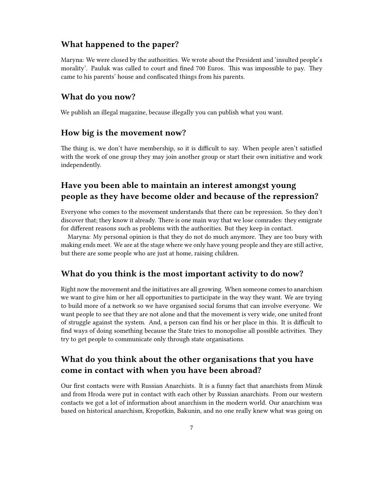#### <span id="page-6-0"></span>**What happened to the paper?**

Maryna: We were closed by the authorities. We wrote about the President and 'insulted people's morality'. Pauluk was called to court and fined 700 Euros. This was impossible to pay. They came to his parents' house and confiscated things from his parents.

#### <span id="page-6-1"></span>**What do you now?**

We publish an illegal magazine, because illegally you can publish what you want.

#### <span id="page-6-2"></span>**How big is the movement now?**

The thing is, we don't have membership, so it is difficult to say. When people aren't satisfied with the work of one group they may join another group or start their own initiative and work independently.

## <span id="page-6-3"></span>**Have you been able to maintain an interest amongst young people as they have become older and because of the repression?**

Everyone who comes to the movement understands that there can be repression. So they don't discover that; they know it already. There is one main way that we lose comrades: they emigrate for different reasons such as problems with the authorities. But they keep in contact.

Maryna: My personal opinion is that they do not do much anymore. They are too busy with making ends meet. We are at the stage where we only have young people and they are still active, but there are some people who are just at home, raising children.

#### <span id="page-6-4"></span>**What do you think is the most important activity to do now?**

Right now the movement and the initiatives are all growing. When someone comes to anarchism we want to give him or her all opportunities to participate in the way they want. We are trying to build more of a network so we have organised social forums that can involve everyone. We want people to see that they are not alone and that the movement is very wide, one united front of struggle against the system. And, a person can find his or her place in this. It is difficult to find ways of doing something because the State tries to monopolise all possible activities. They try to get people to communicate only through state organisations.

# <span id="page-6-5"></span>**What do you think about the other organisations that you have come in contact with when you have been abroad?**

Our first contacts were with Russian Anarchists. It is a funny fact that anarchists from Minsk and from Hroda were put in contact with each other by Russian anarchists. From our western contacts we got a lot of information about anarchism in the modern world. Our anarchism was based on historical anarchism, Kropotkin, Bakunin, and no one really knew what was going on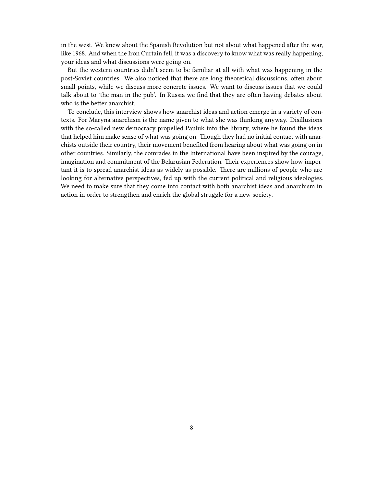in the west. We knew about the Spanish Revolution but not about what happened after the war, like 1968. And when the Iron Curtain fell, it was a discovery to know what was really happening, your ideas and what discussions were going on.

But the western countries didn't seem to be familiar at all with what was happening in the post-Soviet countries. We also noticed that there are long theoretical discussions, often about small points, while we discuss more concrete issues. We want to discuss issues that we could talk about to 'the man in the pub'. In Russia we find that they are often having debates about who is the better anarchist.

To conclude, this interview shows how anarchist ideas and action emerge in a variety of contexts. For Maryna anarchism is the name given to what she was thinking anyway. Disillusions with the so-called new democracy propelled Pauluk into the library, where he found the ideas that helped him make sense of what was going on. Though they had no initial contact with anarchists outside their country, their movement benefited from hearing about what was going on in other countries. Similarly, the comrades in the International have been inspired by the courage, imagination and commitment of the Belarusian Federation. Their experiences show how important it is to spread anarchist ideas as widely as possible. There are millions of people who are looking for alternative perspectives, fed up with the current political and religious ideologies. We need to make sure that they come into contact with both anarchist ideas and anarchism in action in order to strengthen and enrich the global struggle for a new society.